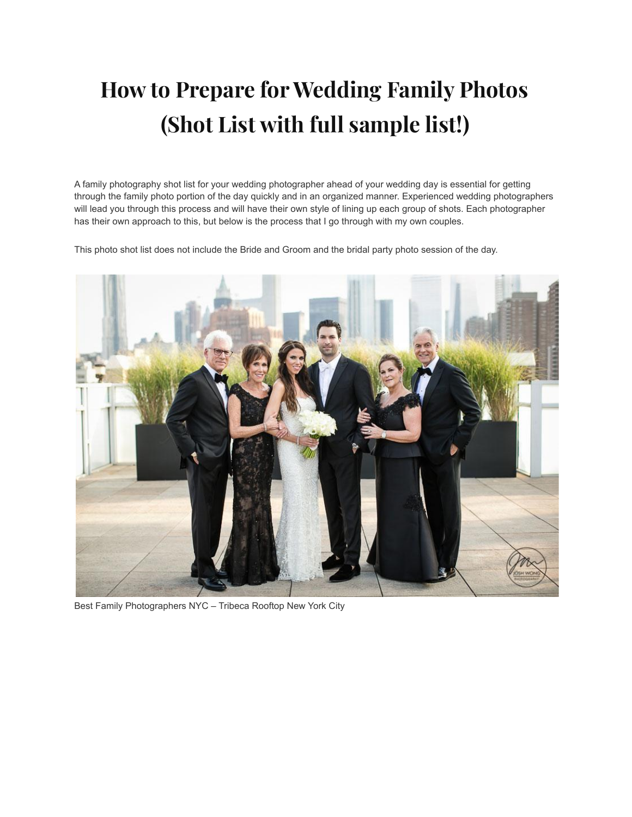# **How to Prepare for Wedding Family Photos (Shot List with full sample list!)**

A family photography shot list for your wedding photographer ahead of your wedding day is essential for getting through the family photo portion of the day quickly and in an organized manner. Experienced wedding photographers will lead you through this process and will have their own style of lining up each group of shots. Each photographer has their own approach to this, but below is the process that I go through with my own couples.

This photo shot list does not include the Bride and Groom and the bridal party photo session of the day.



Best Family Photographers NYC – Tribeca Rooftop New York City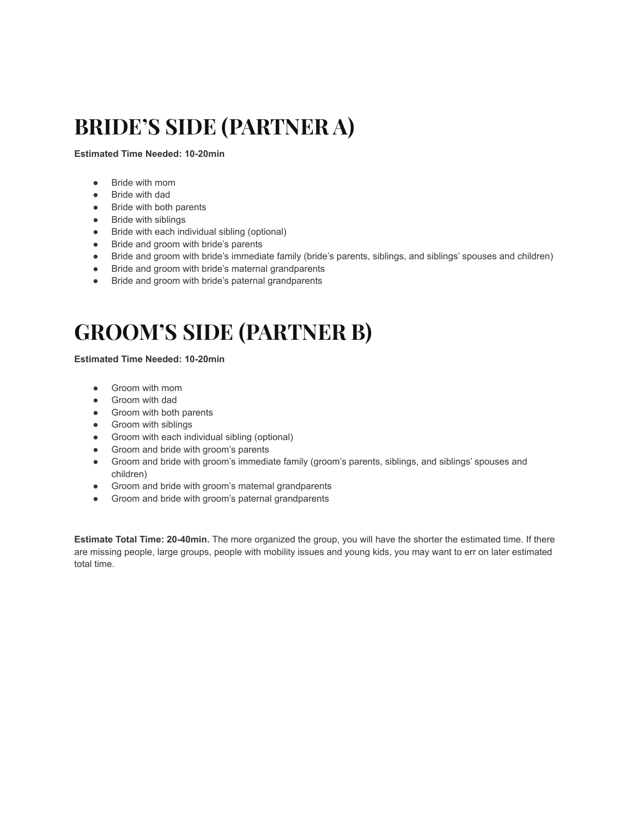# **BRIDE'S SIDE (PARTNER A)**

#### **Estimated Time Needed: 10-20min**

- Bride with mom
- Bride with dad
- Bride with both parents
- Bride with siblings
- Bride with each individual sibling (optional)
- Bride and groom with bride's parents
- Bride and groom with bride's immediate family (bride's parents, siblings, and siblings' spouses and children)
- Bride and groom with bride's maternal grandparents
- Bride and groom with bride's paternal grandparents

### **GROOM'S SIDE (PARTNER B)**

### **Estimated Time Needed: 10-20min**

- Groom with mom
- Groom with dad
- Groom with both parents
- Groom with siblings
- Groom with each individual sibling (optional)
- Groom and bride with groom's parents
- Groom and bride with groom's immediate family (groom's parents, siblings, and siblings' spouses and children)
- Groom and bride with groom's maternal grandparents
- Groom and bride with groom's paternal grandparents

**Estimate Total Time: 20-40min.** The more organized the group, you will have the shorter the estimated time. If there are missing people, large groups, people with mobility issues and young kids, you may want to err on later estimated total time.